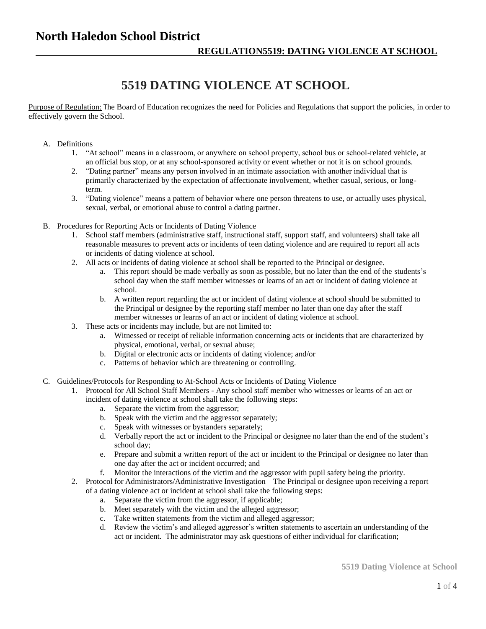## **5519 DATING VIOLENCE AT SCHOOL**

Purpose of Regulation: The Board of Education recognizes the need for Policies and Regulations that support the policies, in order to effectively govern the School.

- A. Definitions
	- 1. "At school" means in a classroom, or anywhere on school property, school bus or school-related vehicle, at an official bus stop, or at any school-sponsored activity or event whether or not it is on school grounds.
	- 2. "Dating partner" means any person involved in an intimate association with another individual that is primarily characterized by the expectation of affectionate involvement, whether casual, serious, or longterm.
	- 3. "Dating violence" means a pattern of behavior where one person threatens to use, or actually uses physical, sexual, verbal, or emotional abuse to control a dating partner.
- B. Procedures for Reporting Acts or Incidents of Dating Violence
	- 1. School staff members (administrative staff, instructional staff, support staff, and volunteers) shall take all reasonable measures to prevent acts or incidents of teen dating violence and are required to report all acts or incidents of dating violence at school.
	- 2. All acts or incidents of dating violence at school shall be reported to the Principal or designee.
		- a. This report should be made verbally as soon as possible, but no later than the end of the students's school day when the staff member witnesses or learns of an act or incident of dating violence at school.
		- b. A written report regarding the act or incident of dating violence at school should be submitted to the Principal or designee by the reporting staff member no later than one day after the staff member witnesses or learns of an act or incident of dating violence at school.
	- 3. These acts or incidents may include, but are not limited to:
		- a. Witnessed or receipt of reliable information concerning acts or incidents that are characterized by physical, emotional, verbal, or sexual abuse;
		- b. Digital or electronic acts or incidents of dating violence; and/or
		- c. Patterns of behavior which are threatening or controlling.
- C. Guidelines/Protocols for Responding to At-School Acts or Incidents of Dating Violence
	- 1. Protocol for All School Staff Members Any school staff member who witnesses or learns of an act or incident of dating violence at school shall take the following steps:
		- a. Separate the victim from the aggressor;
		- b. Speak with the victim and the aggressor separately;
		- c. Speak with witnesses or bystanders separately;
		- d. Verbally report the act or incident to the Principal or designee no later than the end of the student's school day;
		- e. Prepare and submit a written report of the act or incident to the Principal or designee no later than one day after the act or incident occurred; and
		- f. Monitor the interactions of the victim and the aggressor with pupil safety being the priority.
	- 2. Protocol for Administrators/Administrative Investigation The Principal or designee upon receiving a report of a dating violence act or incident at school shall take the following steps:
		- a. Separate the victim from the aggressor, if applicable;
		- b. Meet separately with the victim and the alleged aggressor;
		- c. Take written statements from the victim and alleged aggressor;
		- d. Review the victim's and alleged aggressor's written statements to ascertain an understanding of the act or incident. The administrator may ask questions of either individual for clarification;

**5519 Dating Violence at School**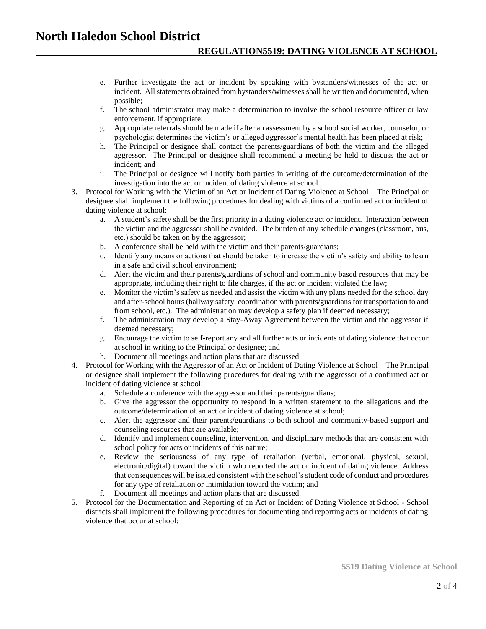- e. Further investigate the act or incident by speaking with bystanders/witnesses of the act or incident. All statements obtained from bystanders/witnesses shall be written and documented, when possible;
- f. The school administrator may make a determination to involve the school resource officer or law enforcement, if appropriate;
- g. Appropriate referrals should be made if after an assessment by a school social worker, counselor, or psychologist determines the victim's or alleged aggressor's mental health has been placed at risk;
- h. The Principal or designee shall contact the parents/guardians of both the victim and the alleged aggressor. The Principal or designee shall recommend a meeting be held to discuss the act or incident; and
- i. The Principal or designee will notify both parties in writing of the outcome/determination of the investigation into the act or incident of dating violence at school.
- 3. Protocol for Working with the Victim of an Act or Incident of Dating Violence at School The Principal or designee shall implement the following procedures for dealing with victims of a confirmed act or incident of dating violence at school:
	- a. A student's safety shall be the first priority in a dating violence act or incident. Interaction between the victim and the aggressor shall be avoided. The burden of any schedule changes (classroom, bus, etc.) should be taken on by the aggressor;
	- b. A conference shall be held with the victim and their parents/guardians;
	- c. Identify any means or actions that should be taken to increase the victim's safety and ability to learn in a safe and civil school environment;
	- d. Alert the victim and their parents/guardians of school and community based resources that may be appropriate, including their right to file charges, if the act or incident violated the law;
	- e. Monitor the victim's safety as needed and assist the victim with any plans needed for the school day and after-school hours (hallway safety, coordination with parents/guardians for transportation to and from school, etc.). The administration may develop a safety plan if deemed necessary;
	- f. The administration may develop a Stay-Away Agreement between the victim and the aggressor if deemed necessary;
	- g. Encourage the victim to self-report any and all further acts or incidents of dating violence that occur at school in writing to the Principal or designee; and
	- h. Document all meetings and action plans that are discussed.
- 4. Protocol for Working with the Aggressor of an Act or Incident of Dating Violence at School The Principal or designee shall implement the following procedures for dealing with the aggressor of a confirmed act or incident of dating violence at school:
	- a. Schedule a conference with the aggressor and their parents/guardians;
	- b. Give the aggressor the opportunity to respond in a written statement to the allegations and the outcome/determination of an act or incident of dating violence at school;
	- c. Alert the aggressor and their parents/guardians to both school and community-based support and counseling resources that are available;
	- d. Identify and implement counseling, intervention, and disciplinary methods that are consistent with school policy for acts or incidents of this nature;
	- e. Review the seriousness of any type of retaliation (verbal, emotional, physical, sexual, electronic/digital) toward the victim who reported the act or incident of dating violence. Address that consequences will be issued consistent with the school's student code of conduct and procedures for any type of retaliation or intimidation toward the victim; and
	- f. Document all meetings and action plans that are discussed.
- 5. Protocol for the Documentation and Reporting of an Act or Incident of Dating Violence at School School districts shall implement the following procedures for documenting and reporting acts or incidents of dating violence that occur at school: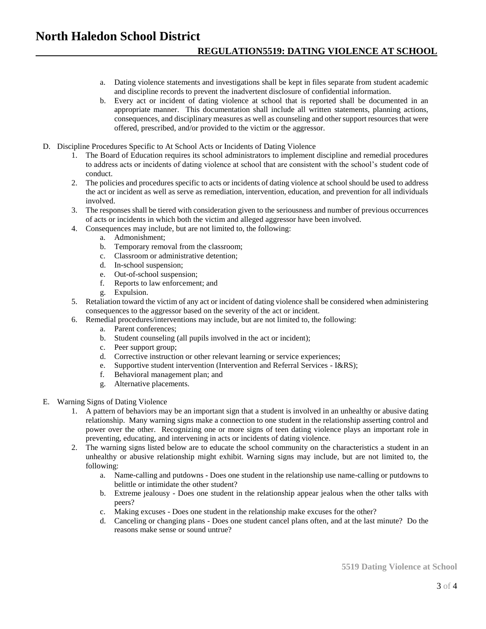## **North Haledon School District REGULATION5519: DATING VIOLENCE AT SCHOOL**

- a. Dating violence statements and investigations shall be kept in files separate from student academic and discipline records to prevent the inadvertent disclosure of confidential information.
- b. Every act or incident of dating violence at school that is reported shall be documented in an appropriate manner. This documentation shall include all written statements, planning actions, consequences, and disciplinary measures as well as counseling and other support resources that were offered, prescribed, and/or provided to the victim or the aggressor.
- D. Discipline Procedures Specific to At School Acts or Incidents of Dating Violence
	- 1. The Board of Education requires its school administrators to implement discipline and remedial procedures to address acts or incidents of dating violence at school that are consistent with the school's student code of conduct.
	- 2. The policies and procedures specific to acts or incidents of dating violence at school should be used to address the act or incident as well as serve as remediation, intervention, education, and prevention for all individuals involved.
	- 3. The responses shall be tiered with consideration given to the seriousness and number of previous occurrences of acts or incidents in which both the victim and alleged aggressor have been involved.
	- 4. Consequences may include, but are not limited to, the following:
		- a. Admonishment;
		- b. Temporary removal from the classroom;
		- c. Classroom or administrative detention;
		- d. In-school suspension;
		- e. Out-of-school suspension;
		- f. Reports to law enforcement; and
		- g. Expulsion.
	- 5. Retaliation toward the victim of any act or incident of dating violence shall be considered when administering consequences to the aggressor based on the severity of the act or incident.
	- 6. Remedial procedures/interventions may include, but are not limited to, the following:
		- a. Parent conferences;
		- b. Student counseling (all pupils involved in the act or incident);
		- c. Peer support group;
		-
		- d. Corrective instruction or other relevant learning or service experiences;<br>e. Supportive student intervention (Intervention and Referral Services I& Supportive student intervention (Intervention and Referral Services - I&RS);
		- f. Behavioral management plan; and
		- g. Alternative placements.
- E. Warning Signs of Dating Violence
	- 1. A pattern of behaviors may be an important sign that a student is involved in an unhealthy or abusive dating relationship. Many warning signs make a connection to one student in the relationship asserting control and power over the other. Recognizing one or more signs of teen dating violence plays an important role in preventing, educating, and intervening in acts or incidents of dating violence.
	- 2. The warning signs listed below are to educate the school community on the characteristics a student in an unhealthy or abusive relationship might exhibit. Warning signs may include, but are not limited to, the following:
		- a. Name-calling and putdowns Does one student in the relationship use name-calling or putdowns to belittle or intimidate the other student?
		- b. Extreme jealousy Does one student in the relationship appear jealous when the other talks with peers?
		- c. Making excuses Does one student in the relationship make excuses for the other?
		- d. Canceling or changing plans Does one student cancel plans often, and at the last minute? Do the reasons make sense or sound untrue?